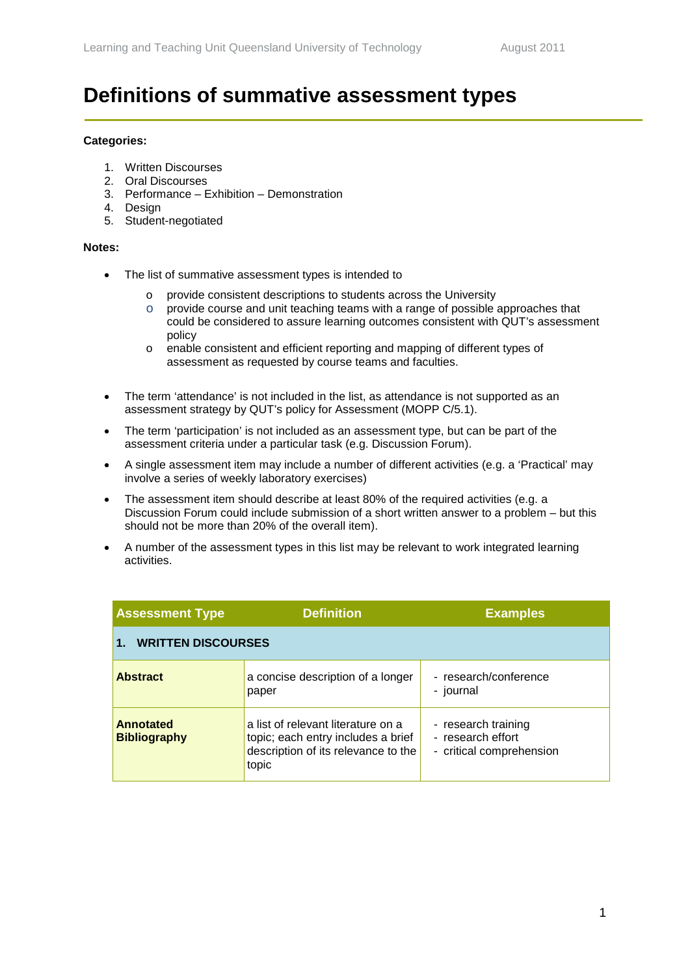## **Definitions of summative assessment types**

## **Categories:**

- 1. Written Discourses
- 2. Oral Discourses
- 3. Performance Exhibition Demonstration
- 4. Design
- 5. Student-negotiated

## **Notes:**

- The list of summative assessment types is intended to
	- o provide consistent descriptions to students across the University<br>○ provide course and unit teaching teams with a range of possible a
	- provide course and unit teaching teams with a range of possible approaches that could be considered to assure learning outcomes consistent with QUT's assessment policy
	- o enable consistent and efficient reporting and mapping of different types of assessment as requested by course teams and faculties.
- The term 'attendance' is not included in the list, as attendance is not supported as an assessment strategy by QUT's policy for Assessment (MOPP C/5.1).
- The term 'participation' is not included as an assessment type, but can be part of the assessment criteria under a particular task (e.g. Discussion Forum).
- A single assessment item may include a number of different activities (e.g. a 'Practical' may involve a series of weekly laboratory exercises)
- The assessment item should describe at least 80% of the required activities (e.g. a Discussion Forum could include submission of a short written answer to a problem – but this should not be more than 20% of the overall item).
- A number of the assessment types in this list may be relevant to work integrated learning activities.

| <b>Assessment Type</b>           | <b>Definition</b>                                                                                                        | <b>Examples</b>                                                      |
|----------------------------------|--------------------------------------------------------------------------------------------------------------------------|----------------------------------------------------------------------|
| <b>WRITTEN DISCOURSES</b>        |                                                                                                                          |                                                                      |
| <b>Abstract</b>                  | a concise description of a longer<br>paper                                                                               | - research/conference<br>- journal                                   |
| Annotated<br><b>Bibliography</b> | a list of relevant literature on a<br>topic; each entry includes a brief<br>description of its relevance to the<br>topic | - research training<br>- research effort<br>- critical comprehension |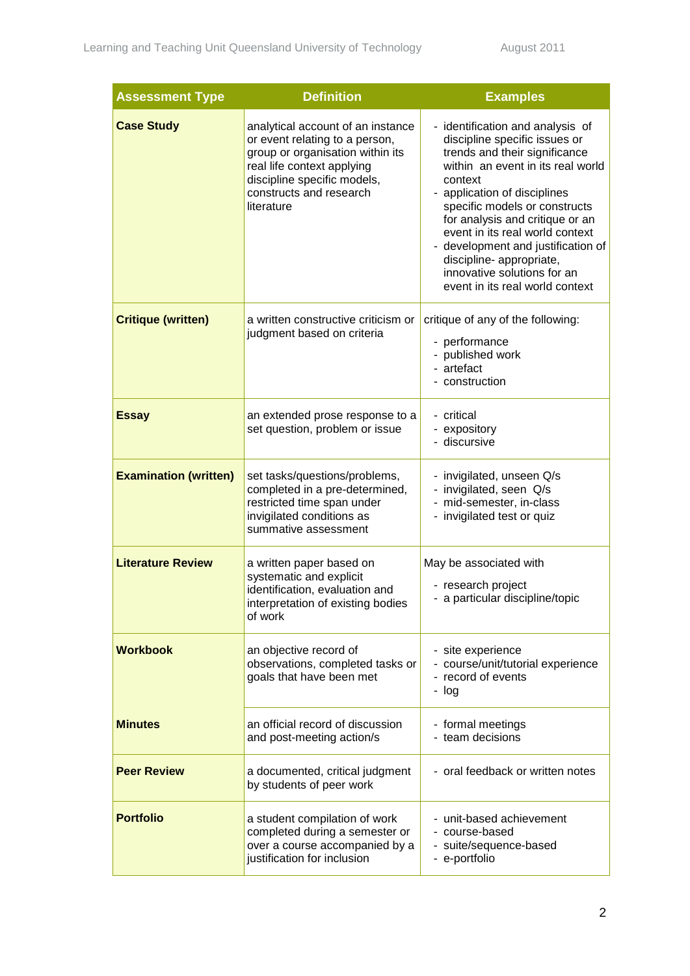| <b>Assessment Type</b>       | <b>Definition</b>                                                                                                                                                                                             | <b>Examples</b>                                                                                                                                                                                                                                                                                                                                                                                                               |
|------------------------------|---------------------------------------------------------------------------------------------------------------------------------------------------------------------------------------------------------------|-------------------------------------------------------------------------------------------------------------------------------------------------------------------------------------------------------------------------------------------------------------------------------------------------------------------------------------------------------------------------------------------------------------------------------|
| <b>Case Study</b>            | analytical account of an instance<br>or event relating to a person,<br>group or organisation within its<br>real life context applying<br>discipline specific models,<br>constructs and research<br>literature | - identification and analysis of<br>discipline specific issues or<br>trends and their significance<br>within an event in its real world<br>context<br>- application of disciplines<br>specific models or constructs<br>for analysis and critique or an<br>event in its real world context<br>- development and justification of<br>discipline- appropriate,<br>innovative solutions for an<br>event in its real world context |
| <b>Critique (written)</b>    | a written constructive criticism or<br>judgment based on criteria                                                                                                                                             | critique of any of the following:<br>- performance<br>- published work<br>- artefact<br>- construction                                                                                                                                                                                                                                                                                                                        |
| <b>Essay</b>                 | an extended prose response to a<br>set question, problem or issue                                                                                                                                             | - critical<br>- expository<br>- discursive                                                                                                                                                                                                                                                                                                                                                                                    |
| <b>Examination (written)</b> | set tasks/questions/problems,<br>completed in a pre-determined,<br>restricted time span under<br>invigilated conditions as<br>summative assessment                                                            | - invigilated, unseen Q/s<br>- invigilated, seen Q/s<br>- mid-semester, in-class<br>- invigilated test or quiz                                                                                                                                                                                                                                                                                                                |
| <b>Literature Review</b>     | a written paper based on<br>systematic and explicit<br>identification, evaluation and<br>interpretation of existing bodies<br>of work                                                                         | May be associated with<br>- research project<br>- a particular discipline/topic                                                                                                                                                                                                                                                                                                                                               |
| <b>Workbook</b>              | an objective record of<br>observations, completed tasks or<br>goals that have been met                                                                                                                        | - site experience<br>- course/unit/tutorial experience<br>- record of events<br>- log                                                                                                                                                                                                                                                                                                                                         |
| <b>Minutes</b>               | an official record of discussion<br>and post-meeting action/s                                                                                                                                                 | - formal meetings<br>- team decisions                                                                                                                                                                                                                                                                                                                                                                                         |
| <b>Peer Review</b>           | a documented, critical judgment<br>by students of peer work                                                                                                                                                   | - oral feedback or written notes                                                                                                                                                                                                                                                                                                                                                                                              |
| <b>Portfolio</b>             | a student compilation of work<br>completed during a semester or<br>over a course accompanied by a<br>justification for inclusion                                                                              | - unit-based achievement<br>- course-based<br>- suite/sequence-based<br>- e-portfolio                                                                                                                                                                                                                                                                                                                                         |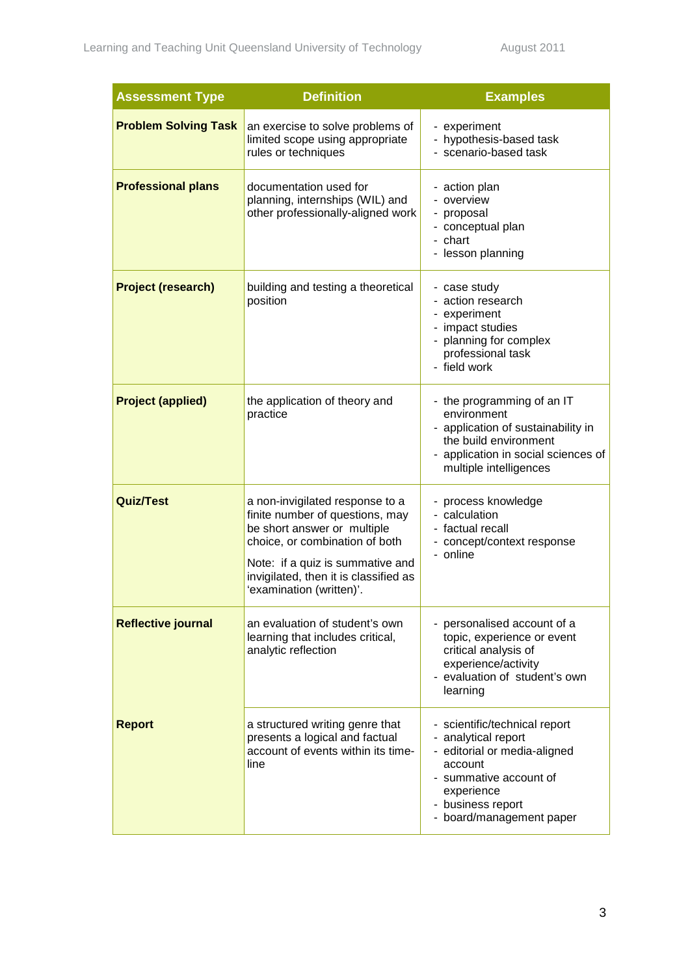| <b>Assessment Type</b>      | <b>Definition</b>                                                                                                                                                                                                                            | <b>Examples</b>                                                                                                                                                                          |
|-----------------------------|----------------------------------------------------------------------------------------------------------------------------------------------------------------------------------------------------------------------------------------------|------------------------------------------------------------------------------------------------------------------------------------------------------------------------------------------|
| <b>Problem Solving Task</b> | an exercise to solve problems of<br>limited scope using appropriate<br>rules or techniques                                                                                                                                                   | - experiment<br>- hypothesis-based task<br>- scenario-based task                                                                                                                         |
| <b>Professional plans</b>   | documentation used for<br>planning, internships (WIL) and<br>other professionally-aligned work                                                                                                                                               | - action plan<br>- overview<br>- proposal<br>- conceptual plan<br>- chart<br>- lesson planning                                                                                           |
| <b>Project (research)</b>   | building and testing a theoretical<br>position                                                                                                                                                                                               | - case study<br>- action research<br>- experiment<br>- impact studies<br>- planning for complex<br>professional task<br>- field work                                                     |
| <b>Project (applied)</b>    | the application of theory and<br>practice                                                                                                                                                                                                    | - the programming of an IT<br>environment<br>- application of sustainability in<br>the build environment<br>- application in social sciences of<br>multiple intelligences                |
| <b>Quiz/Test</b>            | a non-invigilated response to a<br>finite number of questions, may<br>be short answer or multiple<br>choice, or combination of both<br>Note: if a quiz is summative and<br>invigilated, then it is classified as<br>'examination (written)'. | - process knowledge<br>- calculation<br>- factual recall<br>- concept/context response<br>- online                                                                                       |
| <b>Reflective journal</b>   | an evaluation of student's own<br>learning that includes critical,<br>analytic reflection                                                                                                                                                    | - personalised account of a<br>topic, experience or event<br>critical analysis of<br>experience/activity<br>- evaluation of student's own<br>learning                                    |
| <b>Report</b>               | a structured writing genre that<br>presents a logical and factual<br>account of events within its time-<br>line                                                                                                                              | - scientific/technical report<br>- analytical report<br>- editorial or media-aligned<br>account<br>- summative account of<br>experience<br>- business report<br>- board/management paper |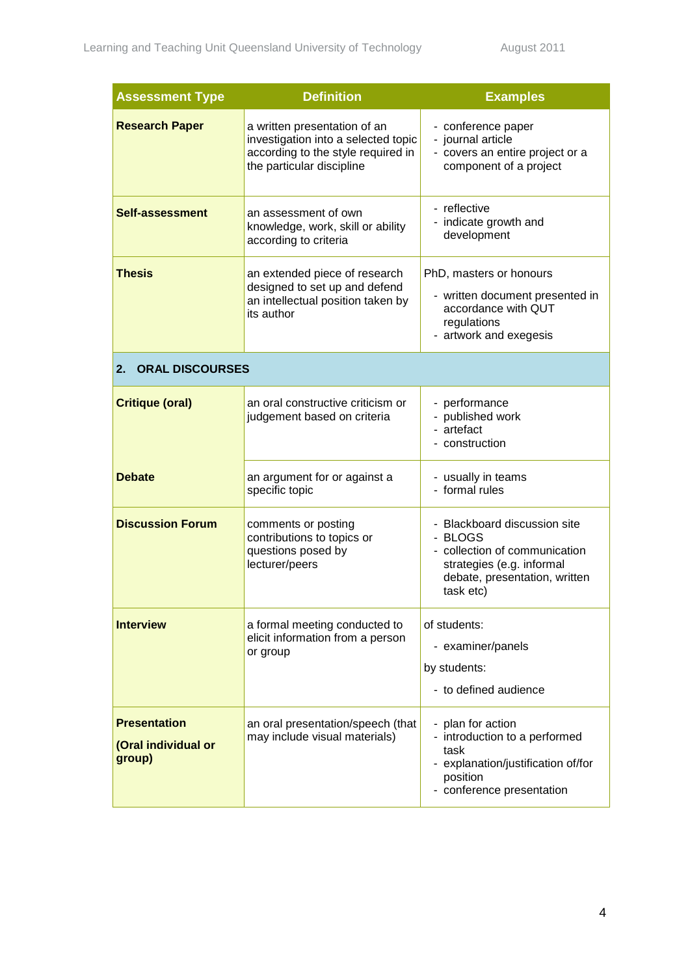| <b>Assessment Type</b>                               | <b>Definition</b>                                                                                                                      | <b>Examples</b>                                                                                                                                     |
|------------------------------------------------------|----------------------------------------------------------------------------------------------------------------------------------------|-----------------------------------------------------------------------------------------------------------------------------------------------------|
| <b>Research Paper</b>                                | a written presentation of an<br>investigation into a selected topic<br>according to the style required in<br>the particular discipline | - conference paper<br>- journal article<br>- covers an entire project or a<br>component of a project                                                |
| <b>Self-assessment</b>                               | an assessment of own<br>knowledge, work, skill or ability<br>according to criteria                                                     | - reflective<br>- indicate growth and<br>development                                                                                                |
| <b>Thesis</b>                                        | an extended piece of research<br>designed to set up and defend<br>an intellectual position taken by<br>its author                      | PhD, masters or honours<br>- written document presented in<br>accordance with QUT<br>regulations<br>- artwork and exegesis                          |
| <b>ORAL DISCOURSES</b><br>2.                         |                                                                                                                                        |                                                                                                                                                     |
| <b>Critique (oral)</b>                               | an oral constructive criticism or<br>judgement based on criteria                                                                       | - performance<br>- published work<br>- artefact<br>- construction                                                                                   |
| <b>Debate</b>                                        | an argument for or against a<br>specific topic                                                                                         | - usually in teams<br>- formal rules                                                                                                                |
| <b>Discussion Forum</b>                              | comments or posting<br>contributions to topics or<br>questions posed by<br>lecturer/peers                                              | - Blackboard discussion site<br>- BLOGS<br>- collection of communication<br>strategies (e.g. informal<br>debate, presentation, written<br>task etc) |
| <b>Interview</b>                                     | a formal meeting conducted to<br>elicit information from a person<br>or group                                                          | of students:<br>- examiner/panels<br>by students:<br>- to defined audience                                                                          |
| <b>Presentation</b><br>(Oral individual or<br>group) | an oral presentation/speech (that<br>may include visual materials)                                                                     | - plan for action<br>- introduction to a performed<br>task<br>- explanation/justification of/for<br>position<br>- conference presentation           |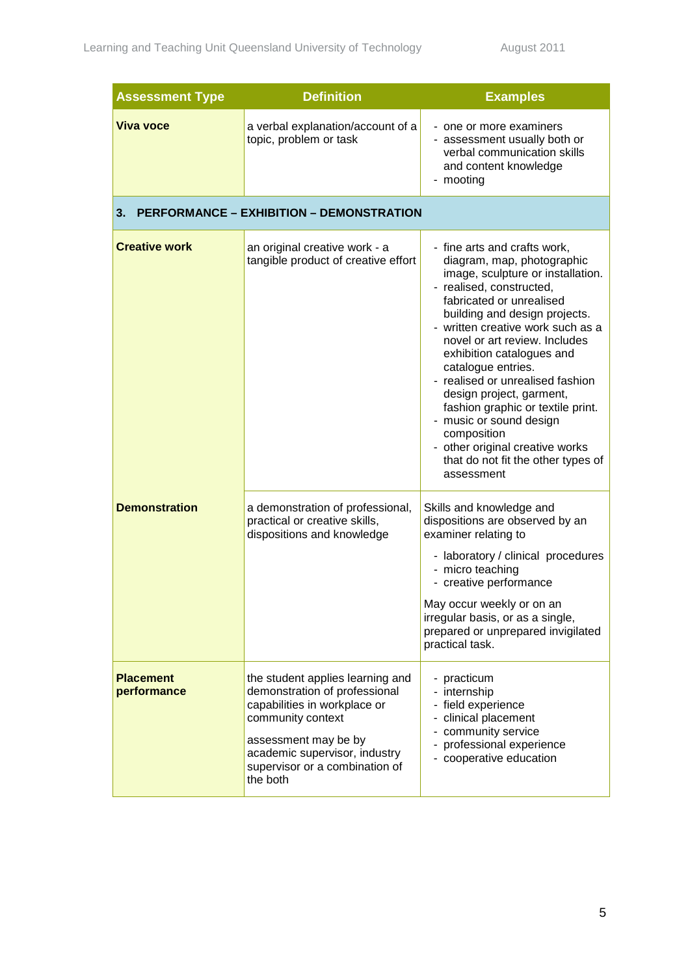| <b>Assessment Type</b>          | <b>Definition</b>                                                                                                                                                                                                             | <b>Examples</b>                                                                                                                                                                                                                                                                                                                                                                                                                                                                                                                                         |
|---------------------------------|-------------------------------------------------------------------------------------------------------------------------------------------------------------------------------------------------------------------------------|---------------------------------------------------------------------------------------------------------------------------------------------------------------------------------------------------------------------------------------------------------------------------------------------------------------------------------------------------------------------------------------------------------------------------------------------------------------------------------------------------------------------------------------------------------|
| <b>Viva voce</b>                | a verbal explanation/account of a<br>topic, problem or task                                                                                                                                                                   | - one or more examiners<br>- assessment usually both or<br>verbal communication skills<br>and content knowledge<br>- mooting                                                                                                                                                                                                                                                                                                                                                                                                                            |
| 3.                              | <b>PERFORMANCE - EXHIBITION - DEMONSTRATION</b>                                                                                                                                                                               |                                                                                                                                                                                                                                                                                                                                                                                                                                                                                                                                                         |
| <b>Creative work</b>            | an original creative work - a<br>tangible product of creative effort                                                                                                                                                          | - fine arts and crafts work,<br>diagram, map, photographic<br>image, sculpture or installation.<br>- realised, constructed,<br>fabricated or unrealised<br>building and design projects.<br>- written creative work such as a<br>novel or art review. Includes<br>exhibition catalogues and<br>catalogue entries.<br>- realised or unrealised fashion<br>design project, garment,<br>fashion graphic or textile print.<br>- music or sound design<br>composition<br>- other original creative works<br>that do not fit the other types of<br>assessment |
| <b>Demonstration</b>            | a demonstration of professional,<br>practical or creative skills,<br>dispositions and knowledge                                                                                                                               | Skills and knowledge and<br>dispositions are observed by an<br>examiner relating to<br>- laboratory / clinical procedures<br>- micro teaching<br>- creative performance<br>May occur weekly or on an<br>irregular basis, or as a single,<br>prepared or unprepared invigilated<br>practical task.                                                                                                                                                                                                                                                       |
| <b>Placement</b><br>performance | the student applies learning and<br>demonstration of professional<br>capabilities in workplace or<br>community context<br>assessment may be by<br>academic supervisor, industry<br>supervisor or a combination of<br>the both | - practicum<br>- internship<br>- field experience<br>clinical placement<br>community service<br>professional experience<br>- cooperative education                                                                                                                                                                                                                                                                                                                                                                                                      |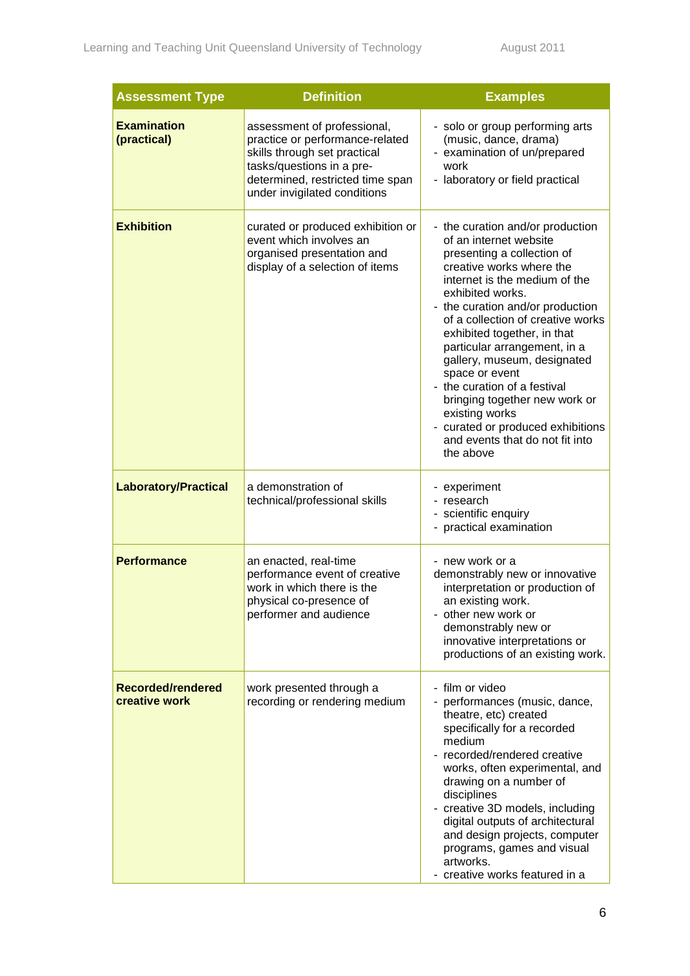| <b>Assessment Type</b>             | <b>Definition</b>                                                                                                                                                                               | <b>Examples</b>                                                                                                                                                                                                                                                                                                                                                                                                                                                                                                                            |
|------------------------------------|-------------------------------------------------------------------------------------------------------------------------------------------------------------------------------------------------|--------------------------------------------------------------------------------------------------------------------------------------------------------------------------------------------------------------------------------------------------------------------------------------------------------------------------------------------------------------------------------------------------------------------------------------------------------------------------------------------------------------------------------------------|
| <b>Examination</b><br>(practical)  | assessment of professional,<br>practice or performance-related<br>skills through set practical<br>tasks/questions in a pre-<br>determined, restricted time span<br>under invigilated conditions | - solo or group performing arts<br>(music, dance, drama)<br>- examination of un/prepared<br>work<br>- laboratory or field practical                                                                                                                                                                                                                                                                                                                                                                                                        |
| <b>Exhibition</b>                  | curated or produced exhibition or<br>event which involves an<br>organised presentation and<br>display of a selection of items                                                                   | - the curation and/or production<br>of an internet website<br>presenting a collection of<br>creative works where the<br>internet is the medium of the<br>exhibited works.<br>- the curation and/or production<br>of a collection of creative works<br>exhibited together, in that<br>particular arrangement, in a<br>gallery, museum, designated<br>space or event<br>- the curation of a festival<br>bringing together new work or<br>existing works<br>- curated or produced exhibitions<br>and events that do not fit into<br>the above |
| <b>Laboratory/Practical</b>        | a demonstration of<br>technical/professional skills                                                                                                                                             | - experiment<br>- research<br>- scientific enquiry<br>- practical examination                                                                                                                                                                                                                                                                                                                                                                                                                                                              |
| <b>Performance</b>                 | an enacted, real-time<br>performance event of creative<br>work in which there is the<br>physical co-presence of<br>performer and audience                                                       | - new work or a<br>demonstrably new or innovative<br>interpretation or production of<br>an existing work.<br>- other new work or<br>demonstrably new or<br>innovative interpretations or<br>productions of an existing work.                                                                                                                                                                                                                                                                                                               |
| Recorded/rendered<br>creative work | work presented through a<br>recording or rendering medium                                                                                                                                       | - film or video<br>- performances (music, dance,<br>theatre, etc) created<br>specifically for a recorded<br>medium<br>recorded/rendered creative<br>works, often experimental, and<br>drawing on a number of<br>disciplines<br>- creative 3D models, including<br>digital outputs of architectural<br>and design projects, computer<br>programs, games and visual<br>artworks.<br>- creative works featured in a                                                                                                                           |